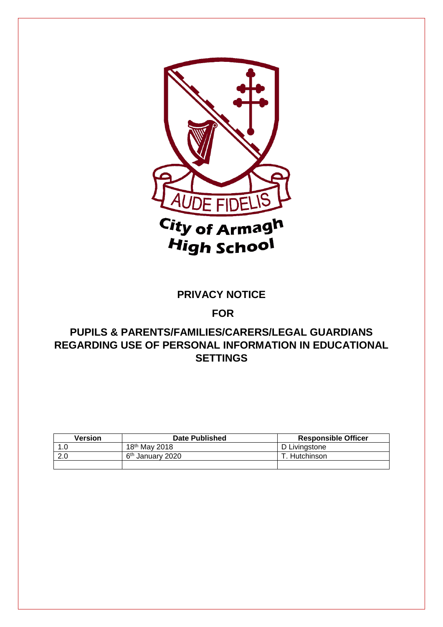

### **PRIVACY NOTICE**

### **FOR**

## **PUPILS & PARENTS/FAMILIES/CARERS/LEGAL GUARDIANS REGARDING USE OF PERSONAL INFORMATION IN EDUCATIONAL SETTINGS**

| <b>Version</b> | <b>Date Published</b>        | <b>Responsible Officer</b> |
|----------------|------------------------------|----------------------------|
| 0. ا           | 18 <sup>th</sup> May 2018    | D Livingstone              |
| 2.0            | 6 <sup>th</sup> January 2020 | Hutchinson                 |
|                |                              |                            |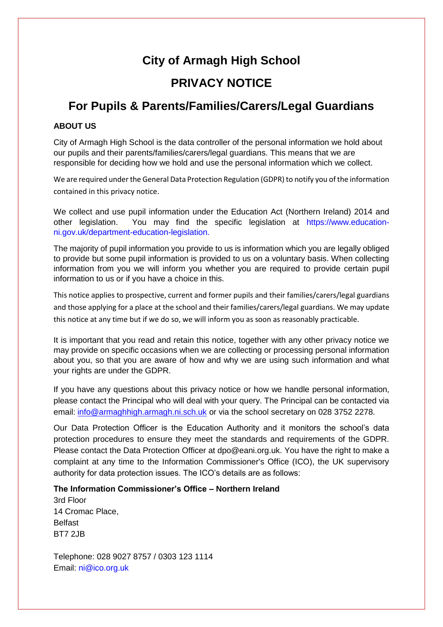# **City of Armagh High School**

# **PRIVACY NOTICE**

# **For Pupils & Parents/Families/Carers/Legal Guardians**

#### **ABOUT US**

City of Armagh High School is the data controller of the personal information we hold about our pupils and their parents/families/carers/legal guardians. This means that we are responsible for deciding how we hold and use the personal information which we collect.

We are required under the General Data Protection Regulation (GDPR) to notify you of the information contained in this privacy notice.

We collect and use pupil information under the Education Act (Northern Ireland) 2014 and other legislation. You may find the specific legislation at https://www.educationni.gov.uk/department-education-legislation.

The majority of pupil information you provide to us is information which you are legally obliged to provide but some pupil information is provided to us on a voluntary basis. When collecting information from you we will inform you whether you are required to provide certain pupil information to us or if you have a choice in this.

This notice applies to prospective, current and former pupils and their families/carers/legal guardians and those applying for a place at the school and their families/carers/legal guardians. We may update this notice at any time but if we do so, we will inform you as soon as reasonably practicable.

It is important that you read and retain this notice, together with any other privacy notice we may provide on specific occasions when we are collecting or processing personal information about you, so that you are aware of how and why we are using such information and what your rights are under the GDPR.

If you have any questions about this privacy notice or how we handle personal information, please contact the Principal who will deal with your query. The Principal can be contacted via email: [info@armaghhigh.armagh.ni.sch.uk](mailto:info@armaghhigh.armagh.ni.sch.uk) or via the school secretary on 028 3752 2278.

Our Data Protection Officer is the Education Authority and it monitors the school's data protection procedures to ensure they meet the standards and requirements of the GDPR. Please contact the Data Protection Officer at dpo@eani.org.uk. You have the right to make a complaint at any time to the Information Commissioner's Office (ICO), the UK supervisory authority for data protection issues. The ICO's details are as follows:

#### **The Information Commissioner's Office – Northern Ireland**

3rd Floor 14 Cromac Place, Belfast BT7 2JB

Telephone: 028 9027 8757 / 0303 123 1114 Email: ni@ico.org.uk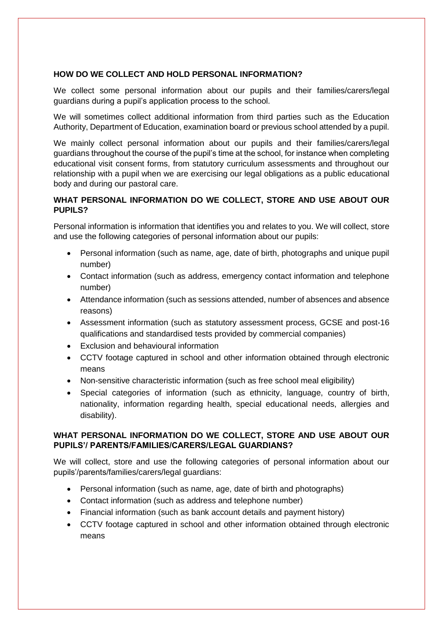#### **HOW DO WE COLLECT AND HOLD PERSONAL INFORMATION?**

We collect some personal information about our pupils and their families/carers/legal guardians during a pupil's application process to the school.

We will sometimes collect additional information from third parties such as the Education Authority, Department of Education, examination board or previous school attended by a pupil.

We mainly collect personal information about our pupils and their families/carers/legal guardians throughout the course of the pupil's time at the school, for instance when completing educational visit consent forms, from statutory curriculum assessments and throughout our relationship with a pupil when we are exercising our legal obligations as a public educational body and during our pastoral care.

#### **WHAT PERSONAL INFORMATION DO WE COLLECT, STORE AND USE ABOUT OUR PUPILS?**

Personal information is information that identifies you and relates to you. We will collect, store and use the following categories of personal information about our pupils:

- Personal information (such as name, age, date of birth, photographs and unique pupil number)
- Contact information (such as address, emergency contact information and telephone number)
- Attendance information (such as sessions attended, number of absences and absence reasons)
- Assessment information (such as statutory assessment process, GCSE and post-16 qualifications and standardised tests provided by commercial companies)
- Exclusion and behavioural information
- CCTV footage captured in school and other information obtained through electronic means
- Non-sensitive characteristic information (such as free school meal eligibility)
- Special categories of information (such as ethnicity, language, country of birth, nationality, information regarding health, special educational needs, allergies and disability).

#### **WHAT PERSONAL INFORMATION DO WE COLLECT, STORE AND USE ABOUT OUR PUPILS'/ PARENTS/FAMILIES/CARERS/LEGAL GUARDIANS?**

We will collect, store and use the following categories of personal information about our pupils'/parents/families/carers/legal guardians:

- Personal information (such as name, age, date of birth and photographs)
- Contact information (such as address and telephone number)
- Financial information (such as bank account details and payment history)
- CCTV footage captured in school and other information obtained through electronic means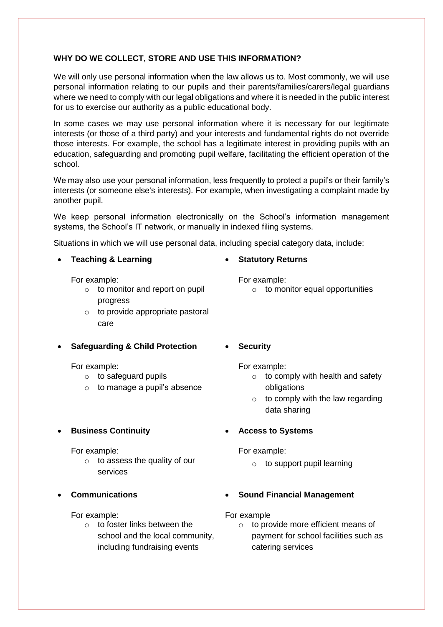#### **WHY DO WE COLLECT, STORE AND USE THIS INFORMATION?**

We will only use personal information when the law allows us to. Most commonly, we will use personal information relating to our pupils and their parents/families/carers/legal guardians where we need to comply with our legal obligations and where it is needed in the public interest for us to exercise our authority as a public educational body.

In some cases we may use personal information where it is necessary for our legitimate interests (or those of a third party) and your interests and fundamental rights do not override those interests. For example, the school has a legitimate interest in providing pupils with an education, safeguarding and promoting pupil welfare, facilitating the efficient operation of the school.

We may also use your personal information, less frequently to protect a pupil's or their family's interests (or someone else's interests). For example, when investigating a complaint made by another pupil.

We keep personal information electronically on the School's information management systems, the School's IT network, or manually in indexed filing systems.

Situations in which we will use personal data, including special category data, include:

#### **Teaching & Learning**

For example:

- o to monitor and report on pupil progress
- $\circ$  to provide appropriate pastoral care
- **Safeguarding & Child Protection**

For example:

- o to safeguard pupils
- $\circ$  to manage a pupil's absence
- **Business Continuity**

For example:

- o to assess the quality of our services
- **Communications**

For example:

o to foster links between the school and the local community, including fundraising events

#### **Statutory Returns**

For example:

- $\circ$  to monitor equal opportunities
- **Security**
	- For example:
		- $\circ$  to comply with health and safety obligations
		- $\circ$  to comply with the law regarding data sharing
- **Access to Systems**

For example:

- o to support pupil learning
- **Sound Financial Management**

For example

o to provide more efficient means of payment for school facilities such as catering services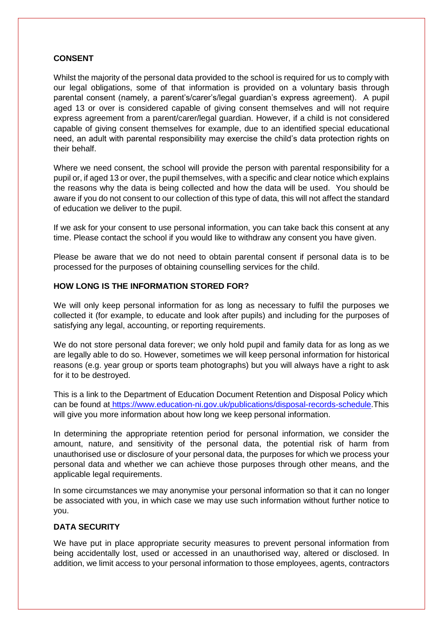#### **CONSENT**

Whilst the majority of the personal data provided to the school is required for us to comply with our legal obligations, some of that information is provided on a voluntary basis through parental consent (namely, a parent's/carer's/legal guardian's express agreement). A pupil aged 13 or over is considered capable of giving consent themselves and will not require express agreement from a parent/carer/legal guardian. However, if a child is not considered capable of giving consent themselves for example, due to an identified special educational need, an adult with parental responsibility may exercise the child's data protection rights on their behalf.

Where we need consent, the school will provide the person with parental responsibility for a pupil or, if aged 13 or over, the pupil themselves, with a specific and clear notice which explains the reasons why the data is being collected and how the data will be used. You should be aware if you do not consent to our collection of this type of data, this will not affect the standard of education we deliver to the pupil.

If we ask for your consent to use personal information, you can take back this consent at any time. Please contact the school if you would like to withdraw any consent you have given.

Please be aware that we do not need to obtain parental consent if personal data is to be processed for the purposes of obtaining counselling services for the child.

#### **HOW LONG IS THE INFORMATION STORED FOR?**

We will only keep personal information for as long as necessary to fulfil the purposes we collected it (for example, to educate and look after pupils) and including for the purposes of satisfying any legal, accounting, or reporting requirements.

We do not store personal data forever; we only hold pupil and family data for as long as we are legally able to do so. However, sometimes we will keep personal information for historical reasons (e.g. year group or sports team photographs) but you will always have a right to ask for it to be destroyed.

This is a link to the Department of Education Document Retention and Disposal Policy which can be found at [https://www.education-ni.gov.uk/publications/disposal-records-schedule.](https://www.education-ni.gov.uk/publications/disposal-records-schedule)This will give you more information about how long we keep personal information.

In determining the appropriate retention period for personal information, we consider the amount, nature, and sensitivity of the personal data, the potential risk of harm from unauthorised use or disclosure of your personal data, the purposes for which we process your personal data and whether we can achieve those purposes through other means, and the applicable legal requirements.

In some circumstances we may anonymise your personal information so that it can no longer be associated with you, in which case we may use such information without further notice to you.

#### **DATA SECURITY**

We have put in place appropriate security measures to prevent personal information from being accidentally lost, used or accessed in an unauthorised way, altered or disclosed. In addition, we limit access to your personal information to those employees, agents, contractors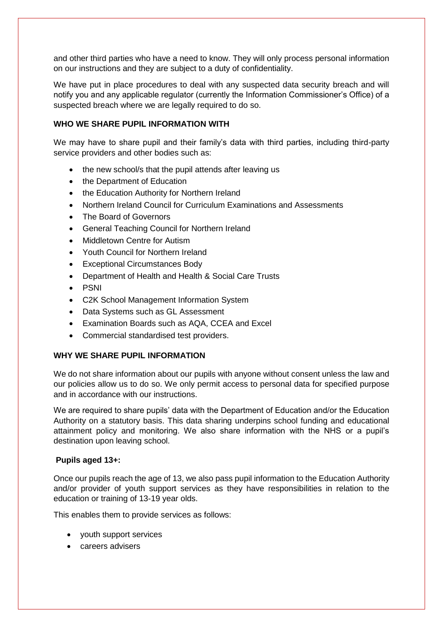and other third parties who have a need to know. They will only process personal information on our instructions and they are subject to a duty of confidentiality.

We have put in place procedures to deal with any suspected data security breach and will notify you and any applicable regulator (currently the Information Commissioner's Office) of a suspected breach where we are legally required to do so.

#### **WHO WE SHARE PUPIL INFORMATION WITH**

We may have to share pupil and their family's data with third parties, including third-party service providers and other bodies such as:

- the new school/s that the pupil attends after leaving us
- the Department of Education
- the Education Authority for Northern Ireland
- Northern Ireland Council for Curriculum Examinations and Assessments
- The Board of Governors
- General Teaching Council for Northern Ireland
- Middletown Centre for Autism
- Youth Council for Northern Ireland
- Exceptional Circumstances Body
- Department of Health and Health & Social Care Trusts
- PSNI
- C2K School Management Information System
- Data Systems such as GL Assessment
- Examination Boards such as AQA, CCEA and Excel
- Commercial standardised test providers.

#### **WHY WE SHARE PUPIL INFORMATION**

We do not share information about our pupils with anyone without consent unless the law and our policies allow us to do so. We only permit access to personal data for specified purpose and in accordance with our instructions.

We are required to share pupils' data with the Department of Education and/or the Education Authority on a statutory basis. This data sharing underpins school funding and educational attainment policy and monitoring. We also share information with the NHS or a pupil's destination upon leaving school.

#### **Pupils aged 13+:**

Once our pupils reach the age of 13, we also pass pupil information to the Education Authority and/or provider of youth support services as they have responsibilities in relation to the education or training of 13-19 year olds.

This enables them to provide services as follows:

- youth support services
- **e** careers advisers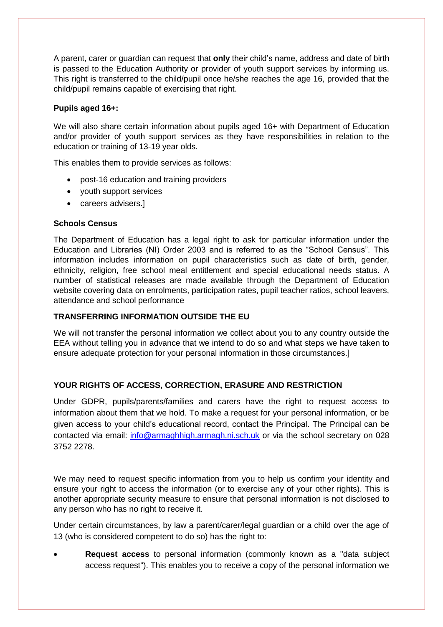A parent, carer or guardian can request that **only** their child's name, address and date of birth is passed to the Education Authority or provider of youth support services by informing us. This right is transferred to the child/pupil once he/she reaches the age 16, provided that the child/pupil remains capable of exercising that right.

#### **Pupils aged 16+:**

We will also share certain information about pupils aged 16+ with Department of Education and/or provider of youth support services as they have responsibilities in relation to the education or training of 13-19 year olds.

This enables them to provide services as follows:

- post-16 education and training providers
- youth support services
- careers advisers.

#### **Schools Census**

The Department of Education has a legal right to ask for particular information under the Education and Libraries (NI) Order 2003 and is referred to as the "School Census". This information includes information on pupil characteristics such as date of birth, gender, ethnicity, religion, free school meal entitlement and special educational needs status. A number of statistical releases are made available through the Department of Education website covering data on enrolments, participation rates, pupil teacher ratios, school leavers, attendance and school performance

#### **TRANSFERRING INFORMATION OUTSIDE THE EU**

We will not transfer the personal information we collect about you to any country outside the EEA without telling you in advance that we intend to do so and what steps we have taken to ensure adequate protection for your personal information in those circumstances.]

#### **YOUR RIGHTS OF ACCESS, CORRECTION, ERASURE AND RESTRICTION**

Under GDPR, pupils/parents/families and carers have the right to request access to information about them that we hold. To make a request for your personal information, or be given access to your child's educational record, contact the Principal. The Principal can be contacted via email: [info@armaghhigh.armagh.ni.sch.uk](mailto:info@armaghhigh.armagh.ni.sch.uk) or via the school secretary on 028 3752 2278.

We may need to request specific information from you to help us confirm your identity and ensure your right to access the information (or to exercise any of your other rights). This is another appropriate security measure to ensure that personal information is not disclosed to any person who has no right to receive it.

Under certain circumstances, by law a parent/carer/legal guardian or a child over the age of 13 (who is considered competent to do so) has the right to:

 **Request access** to personal information (commonly known as a "data subject access request"). This enables you to receive a copy of the personal information we